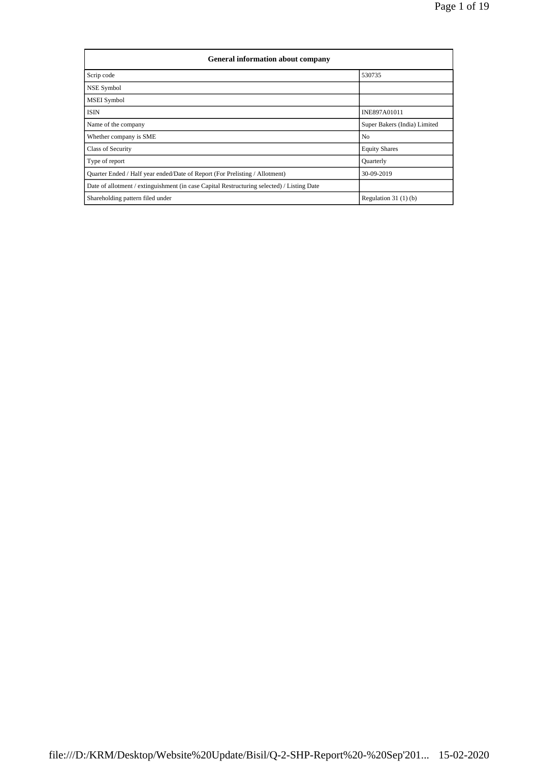| <b>General information about company</b>                                                   |                              |  |  |  |  |  |  |
|--------------------------------------------------------------------------------------------|------------------------------|--|--|--|--|--|--|
| Scrip code                                                                                 | 530735                       |  |  |  |  |  |  |
| NSE Symbol                                                                                 |                              |  |  |  |  |  |  |
| <b>MSEI</b> Symbol                                                                         |                              |  |  |  |  |  |  |
| ISIN                                                                                       | <b>INE897A01011</b>          |  |  |  |  |  |  |
| Name of the company                                                                        | Super Bakers (India) Limited |  |  |  |  |  |  |
| Whether company is SME                                                                     | No                           |  |  |  |  |  |  |
| <b>Class of Security</b>                                                                   | <b>Equity Shares</b>         |  |  |  |  |  |  |
| Type of report                                                                             | Quarterly                    |  |  |  |  |  |  |
| Quarter Ended / Half year ended/Date of Report (For Prelisting / Allotment)                | 30-09-2019                   |  |  |  |  |  |  |
| Date of allotment / extinguishment (in case Capital Restructuring selected) / Listing Date |                              |  |  |  |  |  |  |
| Shareholding pattern filed under                                                           | Regulation $31(1)(b)$        |  |  |  |  |  |  |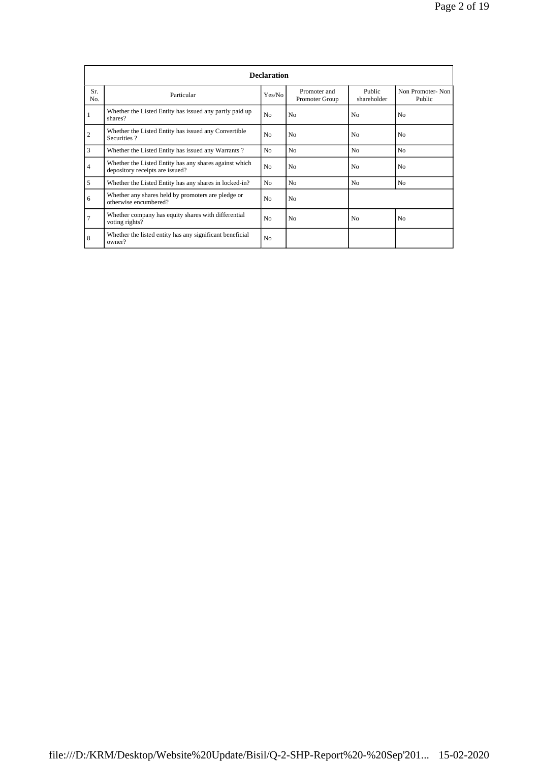|                | <b>Declaration</b>                                                                        |                |                                |                       |                            |  |  |  |  |  |
|----------------|-------------------------------------------------------------------------------------------|----------------|--------------------------------|-----------------------|----------------------------|--|--|--|--|--|
| Sr.<br>No.     | Particular                                                                                | Yes/No         | Promoter and<br>Promoter Group | Public<br>shareholder | Non Promoter-Non<br>Public |  |  |  |  |  |
|                | Whether the Listed Entity has issued any partly paid up<br>shares?                        | N <sub>o</sub> | N <sub>o</sub>                 | N <sub>0</sub>        | N <sub>0</sub>             |  |  |  |  |  |
| $\overline{c}$ | Whether the Listed Entity has issued any Convertible<br>Securities?                       | N <sub>o</sub> | N <sub>o</sub>                 | N <sub>0</sub>        | N <sub>0</sub>             |  |  |  |  |  |
| 3              | Whether the Listed Entity has issued any Warrants?                                        | N <sub>0</sub> | N <sub>o</sub>                 | N <sub>0</sub>        | N <sub>0</sub>             |  |  |  |  |  |
| $\overline{4}$ | Whether the Listed Entity has any shares against which<br>depository receipts are issued? | N <sub>o</sub> | N <sub>o</sub>                 | N <sub>0</sub>        | N <sub>0</sub>             |  |  |  |  |  |
| 5              | Whether the Listed Entity has any shares in locked-in?                                    | N <sub>0</sub> | N <sub>0</sub>                 | N <sub>0</sub>        | N <sub>0</sub>             |  |  |  |  |  |
| 6              | Whether any shares held by promoters are pledge or<br>otherwise encumbered?               | N <sub>o</sub> | N <sub>o</sub>                 |                       |                            |  |  |  |  |  |
| $\overline{7}$ | Whether company has equity shares with differential<br>voting rights?                     | N <sub>o</sub> | No                             | N <sub>0</sub>        | N <sub>0</sub>             |  |  |  |  |  |
| 8              | Whether the listed entity has any significant beneficial<br>owner?                        | N <sub>o</sub> |                                |                       |                            |  |  |  |  |  |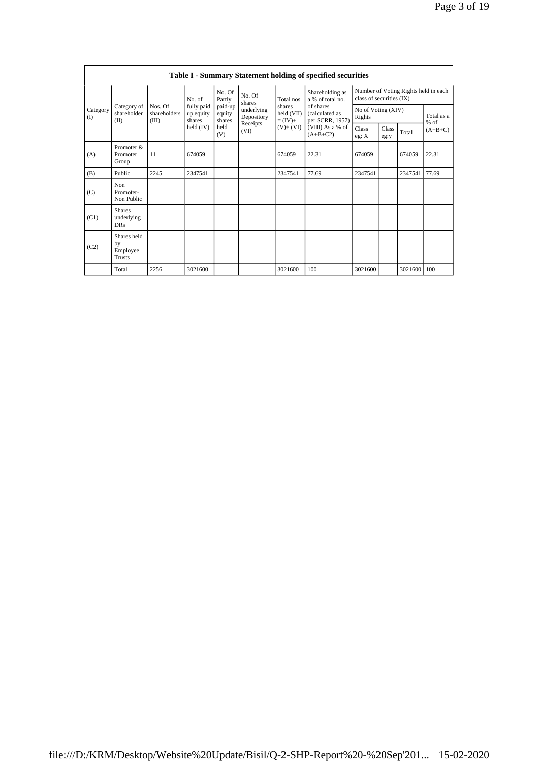|                 | <b>Table I - Summary Statement holding of specified securities</b> |                                  |                                   |                                            |                                              |                                                |                                                                                                         |                              |               |             |                     |  |
|-----------------|--------------------------------------------------------------------|----------------------------------|-----------------------------------|--------------------------------------------|----------------------------------------------|------------------------------------------------|---------------------------------------------------------------------------------------------------------|------------------------------|---------------|-------------|---------------------|--|
|                 |                                                                    |                                  | No. of                            | No. Of<br>Partly                           | No. Of<br>shares                             | Total nos.                                     | Number of Voting Rights held in each<br>Shareholding as<br>class of securities (IX)<br>a % of total no. |                              |               |             |                     |  |
| Category<br>(I) | Category of<br>shareholder<br>(II)                                 | Nos. Of<br>shareholders<br>(III) | fully paid<br>up equity<br>shares | paid-up<br>equity<br>shares<br>held<br>(V) | underlying<br>Depository<br>Receipts<br>(VI) | shares<br>held (VII)<br>$=(IV)+$<br>$(V)+(VI)$ | of shares<br>(calculated as<br>per SCRR, 1957)<br>(VIII) As a % of<br>$(A+B+C2)$                        | No of Voting (XIV)<br>Rights |               |             | Total as a          |  |
|                 |                                                                    |                                  | held $(IV)$                       |                                            |                                              |                                                |                                                                                                         | Class<br>eg: X               | Class<br>eg:y | Total       | $%$ of<br>$(A+B+C)$ |  |
| (A)             | Promoter &<br>Promoter<br>Group                                    | 11                               | 674059                            |                                            |                                              | 674059                                         | 22.31                                                                                                   | 674059                       |               | 674059      | 22.31               |  |
| (B)             | Public                                                             | 2245                             | 2347541                           |                                            |                                              | 2347541                                        | 77.69                                                                                                   | 2347541                      |               | 2347541     | 77.69               |  |
| (C)             | Non<br>Promoter-<br>Non Public                                     |                                  |                                   |                                            |                                              |                                                |                                                                                                         |                              |               |             |                     |  |
| (C1)            | <b>Shares</b><br>underlying<br><b>DRs</b>                          |                                  |                                   |                                            |                                              |                                                |                                                                                                         |                              |               |             |                     |  |
| (C2)            | Shares held<br>by<br>Employee<br><b>Trusts</b>                     |                                  |                                   |                                            |                                              |                                                |                                                                                                         |                              |               |             |                     |  |
|                 | Total                                                              | 2256                             | 3021600                           |                                            |                                              | 3021600                                        | 100                                                                                                     | 3021600                      |               | 3021600 100 |                     |  |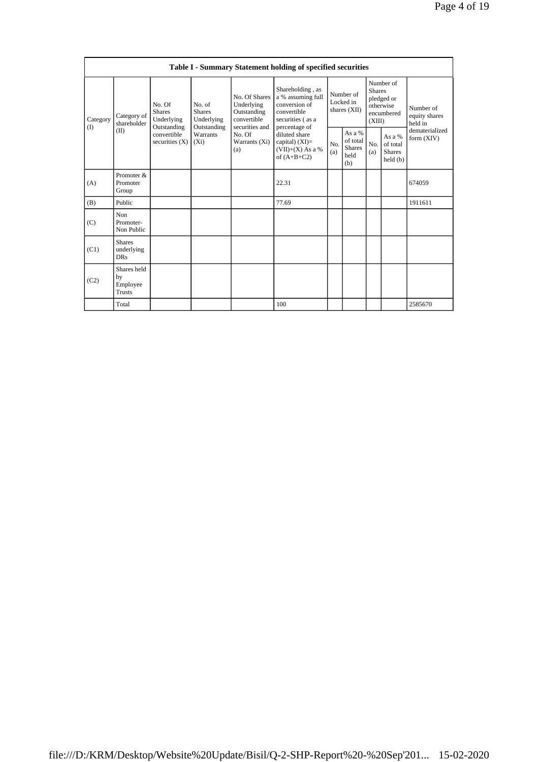|                 | Table I - Summary Statement holding of specified securities |                                                                                                                                              |            |                                                                             |                                                                                                                                                                                        |                                          |                                                      |                                                                               |                                                |                                       |  |
|-----------------|-------------------------------------------------------------|----------------------------------------------------------------------------------------------------------------------------------------------|------------|-----------------------------------------------------------------------------|----------------------------------------------------------------------------------------------------------------------------------------------------------------------------------------|------------------------------------------|------------------------------------------------------|-------------------------------------------------------------------------------|------------------------------------------------|---------------------------------------|--|
| Category<br>(1) | Category of<br>shareholder<br>(II)                          | No. Of<br>No. of<br><b>Shares</b><br><b>Shares</b><br>Underlying<br>Outstanding<br>Outstanding<br>convertible<br>securities $(X)$<br>$(X_i)$ | Underlying | No. Of Shares<br>Underlying<br>Outstanding<br>convertible<br>securities and | Shareholding, as<br>a % assuming full<br>conversion of<br>convertible<br>securities (as a<br>percentage of<br>diluted share<br>capital) $(XI)=$<br>$(VII)+(X)$ As a %<br>of $(A+B+C2)$ | Number of<br>Locked in<br>shares $(XII)$ |                                                      | Number of<br><b>Shares</b><br>pledged or<br>otherwise<br>encumbered<br>(XIII) |                                                | Number of<br>equity shares<br>held in |  |
|                 |                                                             |                                                                                                                                              | Warrants   | No. Of<br>Warrants (Xi)<br>(a)                                              |                                                                                                                                                                                        | N <sub>0</sub><br>(a)                    | As $a\%$<br>of total<br><b>Shares</b><br>held<br>(b) | No.<br>(a)                                                                    | As a %<br>of total<br><b>Shares</b><br>held(b) | dematerialized<br>form (XIV)          |  |
| (A)             | Promoter &<br>Promoter<br>Group                             |                                                                                                                                              |            |                                                                             | 22.31                                                                                                                                                                                  |                                          |                                                      |                                                                               |                                                | 674059                                |  |
| (B)             | Public                                                      |                                                                                                                                              |            |                                                                             | 77.69                                                                                                                                                                                  |                                          |                                                      |                                                                               |                                                | 1911611                               |  |
| (C)             | Non<br>Promoter-<br>Non Public                              |                                                                                                                                              |            |                                                                             |                                                                                                                                                                                        |                                          |                                                      |                                                                               |                                                |                                       |  |
| (C1)            | <b>Shares</b><br>underlying<br><b>DRs</b>                   |                                                                                                                                              |            |                                                                             |                                                                                                                                                                                        |                                          |                                                      |                                                                               |                                                |                                       |  |
| (C2)            | Shares held<br>by<br>Employee<br><b>Trusts</b>              |                                                                                                                                              |            |                                                                             |                                                                                                                                                                                        |                                          |                                                      |                                                                               |                                                |                                       |  |
|                 | Total                                                       |                                                                                                                                              |            |                                                                             | 100                                                                                                                                                                                    |                                          |                                                      |                                                                               |                                                | 2585670                               |  |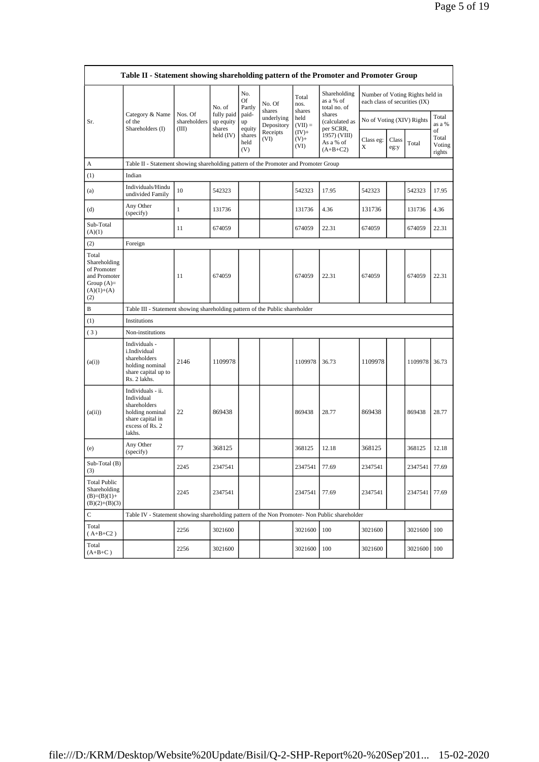|                                                                                             | Table II - Statement showing shareholding pattern of the Promoter and Promoter Group                                |                         |                         |                                 |                                    |                             |                                                      |                                                                  |               |             |                                 |
|---------------------------------------------------------------------------------------------|---------------------------------------------------------------------------------------------------------------------|-------------------------|-------------------------|---------------------------------|------------------------------------|-----------------------------|------------------------------------------------------|------------------------------------------------------------------|---------------|-------------|---------------------------------|
|                                                                                             |                                                                                                                     |                         | No. of                  | No.<br>Of<br>Partly             | No. Of                             | Total<br>nos.               | Shareholding<br>as a % of<br>total no. of            | Number of Voting Rights held in<br>each class of securities (IX) |               |             |                                 |
| Sr.                                                                                         | Category & Name<br>of the                                                                                           | Nos. Of<br>shareholders | fully paid<br>up equity | paid-<br>up                     | shares<br>underlying<br>Depository | shares<br>held<br>$(VII) =$ | shares<br>(calculated as                             | No of Voting (XIV) Rights                                        |               |             | Total<br>as a %                 |
|                                                                                             | Shareholders (I)                                                                                                    | (III)                   | shares<br>held (IV)     | equity<br>shares<br>held<br>(V) | Receipts<br>(VI)                   | $(IV)+$<br>$(V) +$<br>(VI)  | per SCRR,<br>1957) (VIII)<br>As a % of<br>$(A+B+C2)$ | Class eg:<br>Χ                                                   | Class<br>eg:y | Total       | of<br>Total<br>Voting<br>rights |
| А                                                                                           | Table II - Statement showing shareholding pattern of the Promoter and Promoter Group                                |                         |                         |                                 |                                    |                             |                                                      |                                                                  |               |             |                                 |
| (1)                                                                                         | Indian                                                                                                              |                         |                         |                                 |                                    |                             |                                                      |                                                                  |               |             |                                 |
| (a)                                                                                         | Individuals/Hindu<br>undivided Family                                                                               | 10                      | 542323                  |                                 |                                    | 542323                      | 17.95                                                | 542323                                                           |               | 542323      | 17.95                           |
| (d)                                                                                         | Any Other<br>(specify)                                                                                              | $\mathbf{1}$            | 131736                  |                                 |                                    | 131736                      | 4.36                                                 | 131736                                                           |               | 131736      | 4.36                            |
| Sub-Total<br>(A)(1)                                                                         |                                                                                                                     | 11                      | 674059                  |                                 |                                    | 674059                      | 22.31                                                | 674059                                                           |               | 674059      | 22.31                           |
| (2)                                                                                         | Foreign                                                                                                             |                         |                         |                                 |                                    |                             |                                                      |                                                                  |               |             |                                 |
| Total<br>Shareholding<br>of Promoter<br>and Promoter<br>Group $(A)=$<br>$(A)(1)+(A)$<br>(2) |                                                                                                                     | 11                      | 674059                  |                                 |                                    | 674059                      | 22.31                                                | 674059                                                           |               | 674059      | 22.31                           |
| В                                                                                           | Table III - Statement showing shareholding pattern of the Public shareholder                                        |                         |                         |                                 |                                    |                             |                                                      |                                                                  |               |             |                                 |
| (1)                                                                                         | Institutions                                                                                                        |                         |                         |                                 |                                    |                             |                                                      |                                                                  |               |             |                                 |
| (3)                                                                                         | Non-institutions                                                                                                    |                         |                         |                                 |                                    |                             |                                                      |                                                                  |               |             |                                 |
| (a(i))                                                                                      | Individuals -<br>i.Individual<br>shareholders<br>holding nominal<br>share capital up to<br>Rs. 2 lakhs.             | 2146                    | 1109978                 |                                 |                                    | 1109978                     | 36.73                                                | 1109978                                                          |               | 1109978     | 36.73                           |
| (a(ii))                                                                                     | Individuals - ii.<br>Individual<br>shareholders<br>holding nominal<br>share capital in<br>excess of Rs. 2<br>lakhs. | 22                      | 869438                  |                                 |                                    | 869438                      | 28.77                                                | 869438                                                           |               | 869438      | 28.77                           |
| (e)                                                                                         | Any Other<br>(specify)                                                                                              | 77                      | 368125                  |                                 |                                    | 368125                      | 12.18                                                | 368125                                                           |               | 368125      | 12.18                           |
| Sub-Total (B)<br>(3)                                                                        |                                                                                                                     | 2245                    | 2347541                 |                                 |                                    | 2347541                     | 77.69                                                | 2347541                                                          |               | 2347541     | 77.69                           |
| <b>Total Public</b><br>Shareholding<br>$(B)=(B)(1)+$<br>$(B)(2)+(B)(3)$                     |                                                                                                                     | 2245                    | 2347541                 |                                 |                                    | 2347541                     | 77.69                                                | 2347541                                                          |               | 2347541     | 77.69                           |
| С                                                                                           | Table IV - Statement showing shareholding pattern of the Non Promoter- Non Public shareholder                       |                         |                         |                                 |                                    |                             |                                                      |                                                                  |               |             |                                 |
| Total<br>$(A+B+C2)$                                                                         |                                                                                                                     | 2256                    | 3021600                 |                                 |                                    | 3021600                     | 100                                                  | 3021600                                                          |               | 3021600 100 |                                 |
| Total<br>$(A+B+C)$                                                                          |                                                                                                                     | 2256                    | 3021600                 |                                 |                                    | 3021600                     | 100                                                  | 3021600                                                          |               | 3021600 100 |                                 |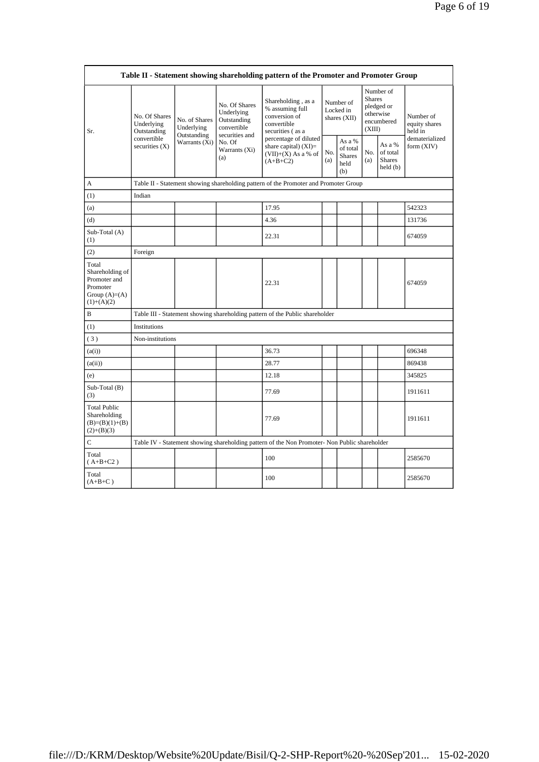|                                                                                           | Table II - Statement showing shareholding pattern of the Promoter and Promoter Group |                                            |                                                                             |                                                                                               |            |                                                    |            |                                                                     |                                       |
|-------------------------------------------------------------------------------------------|--------------------------------------------------------------------------------------|--------------------------------------------|-----------------------------------------------------------------------------|-----------------------------------------------------------------------------------------------|------------|----------------------------------------------------|------------|---------------------------------------------------------------------|---------------------------------------|
| Sr.                                                                                       | No. Of Shares<br>Underlying<br>Outstanding                                           | No. of Shares<br>Underlying<br>Outstanding | No. Of Shares<br>Underlying<br>Outstanding<br>convertible<br>securities and | Shareholding, as a<br>% assuming full<br>conversion of<br>convertible<br>securities (as a     |            | Number of<br>Locked in<br>shares (XII)<br>(XIII)   |            | Number of<br><b>Shares</b><br>pledged or<br>otherwise<br>encumbered | Number of<br>equity shares<br>held in |
|                                                                                           | convertible<br>securities $(X)$                                                      | Warrants (Xi)<br>(a)                       | No. Of<br>Warrants (Xi)                                                     | percentage of diluted<br>share capital) $(XI)$ =<br>$(VII)+(X)$ As a % of<br>$(A+B+C2)$       | No.<br>(a) | As a %<br>of total<br><b>Shares</b><br>held<br>(b) | No.<br>(a) | As a %<br>of total<br><b>Shares</b><br>held(b)                      | dematerialized<br>form (XIV)          |
| Table II - Statement showing shareholding pattern of the Promoter and Promoter Group<br>A |                                                                                      |                                            |                                                                             |                                                                                               |            |                                                    |            |                                                                     |                                       |
| (1)                                                                                       | Indian                                                                               |                                            |                                                                             |                                                                                               |            |                                                    |            |                                                                     |                                       |
| (a)                                                                                       |                                                                                      |                                            |                                                                             | 17.95                                                                                         |            |                                                    |            |                                                                     | 542323                                |
| (d)                                                                                       |                                                                                      |                                            |                                                                             | 4.36                                                                                          |            |                                                    |            |                                                                     | 131736                                |
| Sub-Total (A)<br>(1)                                                                      |                                                                                      |                                            |                                                                             | 22.31                                                                                         |            |                                                    |            |                                                                     | 674059                                |
| (2)                                                                                       | Foreign                                                                              |                                            |                                                                             |                                                                                               |            |                                                    |            |                                                                     |                                       |
| Total<br>Shareholding of<br>Promoter and<br>Promoter<br>Group $(A)=A)$<br>$(1)+(A)(2)$    |                                                                                      |                                            |                                                                             | 22.31                                                                                         |            |                                                    |            |                                                                     | 674059                                |
| B                                                                                         |                                                                                      |                                            |                                                                             | Table III - Statement showing shareholding pattern of the Public shareholder                  |            |                                                    |            |                                                                     |                                       |
| (1)                                                                                       | Institutions                                                                         |                                            |                                                                             |                                                                                               |            |                                                    |            |                                                                     |                                       |
| (3)                                                                                       | Non-institutions                                                                     |                                            |                                                                             |                                                                                               |            |                                                    |            |                                                                     |                                       |
| (a(i))                                                                                    |                                                                                      |                                            |                                                                             | 36.73                                                                                         |            |                                                    |            |                                                                     | 696348                                |
| (a(ii))                                                                                   |                                                                                      |                                            |                                                                             | 28.77                                                                                         |            |                                                    |            |                                                                     | 869438                                |
| (e)                                                                                       |                                                                                      |                                            |                                                                             | 12.18                                                                                         |            |                                                    |            |                                                                     | 345825                                |
| Sub-Total (B)<br>(3)                                                                      |                                                                                      |                                            |                                                                             | 77.69                                                                                         |            |                                                    |            |                                                                     | 1911611                               |
| <b>Total Public</b><br>Shareholding<br>$(B)=(B)(1)+(B)$<br>$(2)+(B)(3)$                   |                                                                                      |                                            |                                                                             | 77.69                                                                                         |            |                                                    |            |                                                                     | 1911611                               |
| $\mathbf C$                                                                               |                                                                                      |                                            |                                                                             | Table IV - Statement showing shareholding pattern of the Non Promoter- Non Public shareholder |            |                                                    |            |                                                                     |                                       |
| Total<br>$(A+B+C2)$                                                                       |                                                                                      |                                            |                                                                             | 100                                                                                           |            |                                                    |            |                                                                     | 2585670                               |
| Total<br>$(A+B+C)$                                                                        |                                                                                      |                                            |                                                                             | 100                                                                                           |            |                                                    |            |                                                                     | 2585670                               |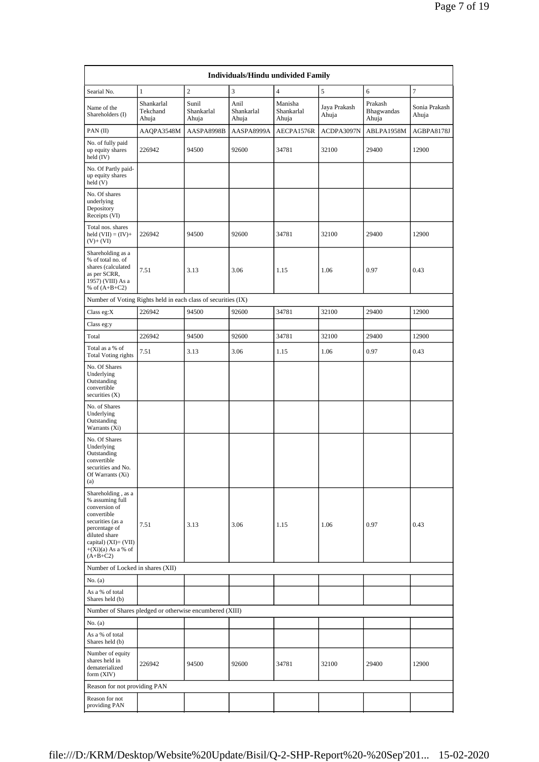| Searial No.                                                                                                                                                                               | $\mathbf{1}$                    | $\overline{c}$               | 3                           | $\overline{4}$                 | 5                     | 6                              | $\overline{7}$         |
|-------------------------------------------------------------------------------------------------------------------------------------------------------------------------------------------|---------------------------------|------------------------------|-----------------------------|--------------------------------|-----------------------|--------------------------------|------------------------|
| Name of the<br>Shareholders (I)                                                                                                                                                           | Shankarlal<br>Tekchand<br>Ahuja | Sunil<br>Shankarlal<br>Ahuja | Anil<br>Shankarlal<br>Ahuja | Manisha<br>Shankarlal<br>Ahuja | Jaya Prakash<br>Ahuja | Prakash<br>Bhagwandas<br>Ahuja | Sonia Prakash<br>Ahuja |
| PAN(II)                                                                                                                                                                                   | AAQPA3548M                      | AASPA8998B                   | AASPA8999A                  | AECPA1576R                     | ACDPA3097N            | ABLPA1958M                     | AGBPA8178J             |
| No. of fully paid<br>up equity shares<br>held (IV)                                                                                                                                        | 226942                          | 94500                        | 92600                       | 34781                          | 32100                 | 29400                          | 12900                  |
| No. Of Partly paid-<br>up equity shares<br>held (V)                                                                                                                                       |                                 |                              |                             |                                |                       |                                |                        |
| No. Of shares<br>underlying<br>Depository<br>Receipts (VI)                                                                                                                                |                                 |                              |                             |                                |                       |                                |                        |
| Total nos. shares<br>held $(VII) = (IV) +$<br>$(V)+(VI)$                                                                                                                                  | 226942                          | 94500                        | 92600                       | 34781                          | 32100                 | 29400                          | 12900                  |
| Shareholding as a<br>% of total no. of<br>shares (calculated<br>as per SCRR,<br>1957) (VIII) As a<br>% of $(A+B+C2)$                                                                      | 7.51                            | 3.13                         | 3.06                        | 1.15                           | 1.06                  | 0.97                           | 0.43                   |
| Number of Voting Rights held in each class of securities (IX)                                                                                                                             |                                 |                              |                             |                                |                       |                                |                        |
| Class eg:X                                                                                                                                                                                | 226942                          | 94500                        | 92600                       | 34781                          | 32100                 | 29400                          | 12900                  |
| Class eg:y                                                                                                                                                                                |                                 |                              |                             |                                |                       |                                |                        |
| Total                                                                                                                                                                                     | 226942                          | 94500                        | 92600                       | 34781                          | 32100                 | 29400                          | 12900                  |
| Total as a % of<br><b>Total Voting rights</b>                                                                                                                                             | 7.51                            | 3.13                         | 3.06                        | 1.15                           | 1.06                  | 0.97                           | 0.43                   |
| No. Of Shares<br>Underlying<br>Outstanding<br>convertible<br>securities $(X)$                                                                                                             |                                 |                              |                             |                                |                       |                                |                        |
| No. of Shares<br>Underlying<br>Outstanding<br>Warrants (Xi)                                                                                                                               |                                 |                              |                             |                                |                       |                                |                        |
| No. Of Shares<br>Underlying<br>Outstanding<br>convertible<br>securities and No.<br>Of Warrants (Xi)<br>(a)                                                                                |                                 |                              |                             |                                |                       |                                |                        |
| Shareholding, as a<br>% assuming full<br>conversion of<br>convertible<br>securities (as a<br>percentage of<br>diluted share<br>capital) (XI)= (VII)<br>$+(Xi)(a)$ As a % of<br>$(A+B+C2)$ | 7.51                            | 3.13                         | 3.06                        | 1.15                           | 1.06                  | 0.97                           | 0.43                   |
| Number of Locked in shares (XII)                                                                                                                                                          |                                 |                              |                             |                                |                       |                                |                        |
| No. (a)                                                                                                                                                                                   |                                 |                              |                             |                                |                       |                                |                        |
| As a % of total<br>Shares held (b)                                                                                                                                                        |                                 |                              |                             |                                |                       |                                |                        |
| Number of Shares pledged or otherwise encumbered (XIII)                                                                                                                                   |                                 |                              |                             |                                |                       |                                |                        |
| No. (a)                                                                                                                                                                                   |                                 |                              |                             |                                |                       |                                |                        |
| As a % of total<br>Shares held (b)                                                                                                                                                        |                                 |                              |                             |                                |                       |                                |                        |
| Number of equity<br>shares held in<br>dematerialized<br>form (XIV)                                                                                                                        | 226942                          | 94500                        | 92600                       | 34781                          | 32100                 | 29400                          | 12900                  |
| Reason for not providing PAN                                                                                                                                                              |                                 |                              |                             |                                |                       |                                |                        |
| Reason for not<br>providing PAN                                                                                                                                                           |                                 |                              |                             |                                |                       |                                |                        |
|                                                                                                                                                                                           |                                 |                              |                             |                                |                       |                                |                        |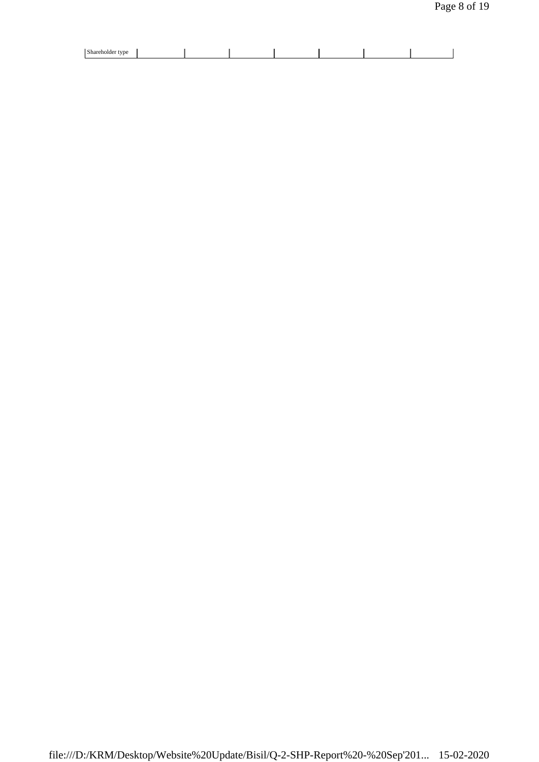| $\sim$<br>Shareholder type |  |
|----------------------------|--|
| . .                        |  |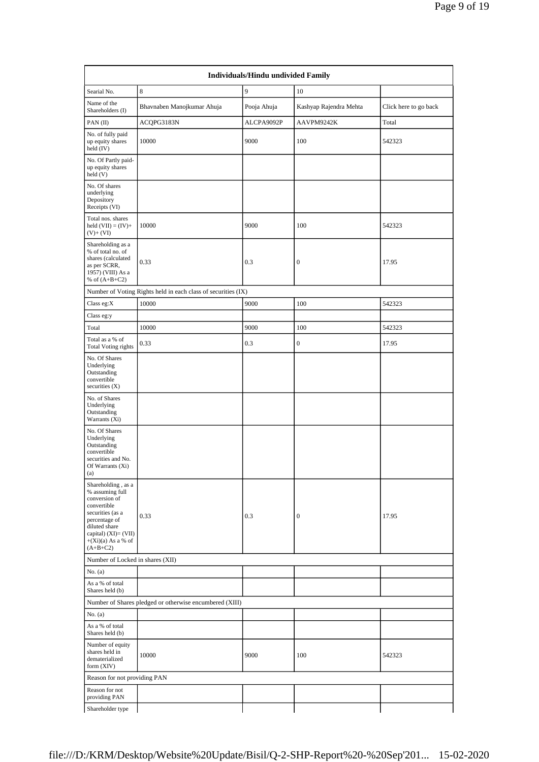| <b>Individuals/Hindu undivided Family</b>                                                                                                                                                 |                                                               |             |                        |                       |  |  |  |
|-------------------------------------------------------------------------------------------------------------------------------------------------------------------------------------------|---------------------------------------------------------------|-------------|------------------------|-----------------------|--|--|--|
| Searial No.                                                                                                                                                                               | 8                                                             | 9           | 10                     |                       |  |  |  |
| Name of the<br>Shareholders (I)                                                                                                                                                           | Bhavnaben Manojkumar Ahuja                                    | Pooja Ahuja | Kashyap Rajendra Mehta | Click here to go back |  |  |  |
| PAN $(II)$                                                                                                                                                                                | ACQPG3183N                                                    | ALCPA9092P  | AAVPM9242K             | Total                 |  |  |  |
| No. of fully paid<br>up equity shares<br>held (IV)                                                                                                                                        | 10000                                                         | 9000        | 100                    | 542323                |  |  |  |
| No. Of Partly paid-<br>up equity shares<br>held (V)                                                                                                                                       |                                                               |             |                        |                       |  |  |  |
| No. Of shares<br>underlying<br>Depository<br>Receipts (VI)                                                                                                                                |                                                               |             |                        |                       |  |  |  |
| Total nos. shares<br>held $(VII) = (IV) +$<br>$(V)+(VI)$                                                                                                                                  | 10000                                                         | 9000        | 100                    | 542323                |  |  |  |
| Shareholding as a<br>% of total no. of<br>shares (calculated<br>as per SCRR,<br>1957) (VIII) As a<br>% of $(A+B+C2)$                                                                      | 0.33                                                          | 0.3         | $\boldsymbol{0}$       | 17.95                 |  |  |  |
|                                                                                                                                                                                           | Number of Voting Rights held in each class of securities (IX) |             |                        |                       |  |  |  |
| Class eg: $X$                                                                                                                                                                             | 10000                                                         | 9000        | 100                    | 542323                |  |  |  |
| Class eg:y                                                                                                                                                                                |                                                               |             |                        |                       |  |  |  |
| Total                                                                                                                                                                                     | 10000                                                         | 9000        | 100                    | 542323                |  |  |  |
| Total as a % of<br><b>Total Voting rights</b>                                                                                                                                             | 0.33                                                          | 0.3         | $\boldsymbol{0}$       | 17.95                 |  |  |  |
| No. Of Shares<br>Underlying<br>Outstanding<br>convertible<br>securities (X)                                                                                                               |                                                               |             |                        |                       |  |  |  |
| No. of Shares<br>Underlying<br>Outstanding<br>Warrants (Xi)                                                                                                                               |                                                               |             |                        |                       |  |  |  |
| No. Of Shares<br>Underlying<br>Outstanding<br>convertible<br>securities and No.<br>Of Warrants (Xi)<br>(a)                                                                                |                                                               |             |                        |                       |  |  |  |
| Shareholding, as a<br>% assuming full<br>conversion of<br>convertible<br>securities (as a<br>percentage of<br>diluted share<br>capital) (XI)= (VII)<br>$+(Xi)(a)$ As a % of<br>$(A+B+C2)$ | 0.33                                                          | 0.3         | $\boldsymbol{0}$       | 17.95                 |  |  |  |
| Number of Locked in shares (XII)                                                                                                                                                          |                                                               |             |                        |                       |  |  |  |
| No. (a)                                                                                                                                                                                   |                                                               |             |                        |                       |  |  |  |
| As a % of total<br>Shares held (b)                                                                                                                                                        |                                                               |             |                        |                       |  |  |  |
|                                                                                                                                                                                           | Number of Shares pledged or otherwise encumbered (XIII)       |             |                        |                       |  |  |  |
| No. $(a)$                                                                                                                                                                                 |                                                               |             |                        |                       |  |  |  |
| As a % of total<br>Shares held (b)                                                                                                                                                        |                                                               |             |                        |                       |  |  |  |
| Number of equity<br>shares held in<br>dematerialized<br>form (XIV)                                                                                                                        | 10000                                                         | 9000        | 100                    | 542323                |  |  |  |
| Reason for not providing PAN                                                                                                                                                              |                                                               |             |                        |                       |  |  |  |
| Reason for not<br>providing PAN                                                                                                                                                           |                                                               |             |                        |                       |  |  |  |
| Shareholder type                                                                                                                                                                          |                                                               |             |                        |                       |  |  |  |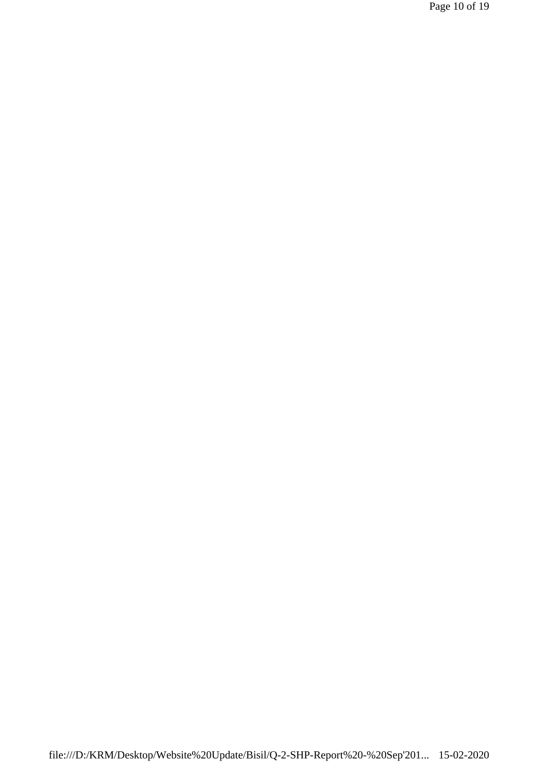Page 10 of 19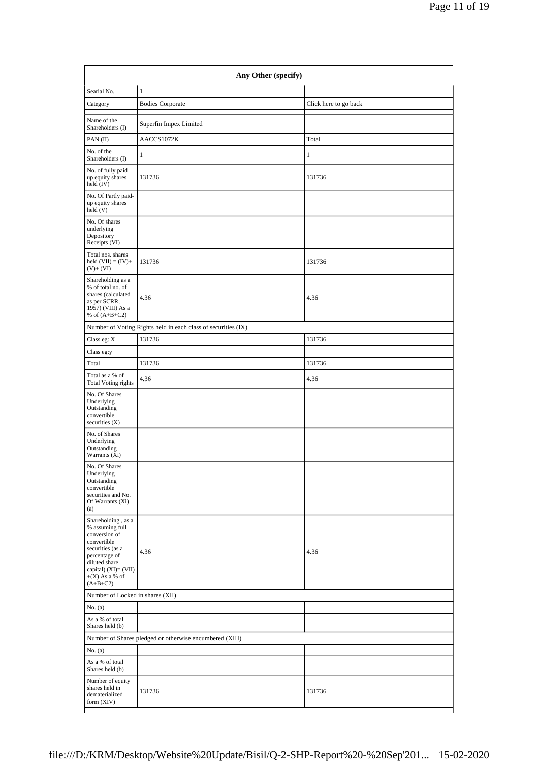| Any Other (specify)                                                                                                                                                                   |                                                               |                       |  |  |  |  |  |  |
|---------------------------------------------------------------------------------------------------------------------------------------------------------------------------------------|---------------------------------------------------------------|-----------------------|--|--|--|--|--|--|
| Searial No.                                                                                                                                                                           | $\mathbf{1}$                                                  |                       |  |  |  |  |  |  |
| Category                                                                                                                                                                              | <b>Bodies Corporate</b>                                       | Click here to go back |  |  |  |  |  |  |
| Name of the<br>Shareholders (I)                                                                                                                                                       | Superfin Impex Limited                                        |                       |  |  |  |  |  |  |
| PAN(II)                                                                                                                                                                               | AACCS1072K                                                    | Total                 |  |  |  |  |  |  |
| No. of the<br>Shareholders (I)                                                                                                                                                        | 1                                                             | $\mathbf{1}$          |  |  |  |  |  |  |
| No. of fully paid<br>up equity shares<br>held (IV)                                                                                                                                    | 131736                                                        | 131736                |  |  |  |  |  |  |
| No. Of Partly paid-<br>up equity shares<br>held (V)                                                                                                                                   |                                                               |                       |  |  |  |  |  |  |
| No. Of shares<br>underlying<br>Depository<br>Receipts (VI)                                                                                                                            |                                                               |                       |  |  |  |  |  |  |
| Total nos. shares<br>held $(VII) = (IV) +$<br>$(V)+(VI)$                                                                                                                              | 131736                                                        | 131736                |  |  |  |  |  |  |
| Shareholding as a<br>% of total no. of<br>shares (calculated<br>as per SCRR,<br>1957) (VIII) As a<br>% of $(A+B+C2)$                                                                  | 4.36                                                          | 4.36                  |  |  |  |  |  |  |
|                                                                                                                                                                                       | Number of Voting Rights held in each class of securities (IX) |                       |  |  |  |  |  |  |
| Class eg: $\mathbf X$                                                                                                                                                                 | 131736                                                        | 131736                |  |  |  |  |  |  |
| Class eg:y                                                                                                                                                                            |                                                               |                       |  |  |  |  |  |  |
| Total                                                                                                                                                                                 | 131736                                                        | 131736                |  |  |  |  |  |  |
| Total as a % of<br><b>Total Voting rights</b>                                                                                                                                         | 4.36                                                          | 4.36                  |  |  |  |  |  |  |
| No. Of Shares<br>Underlying<br>Outstanding<br>convertible<br>securities $(X)$                                                                                                         |                                                               |                       |  |  |  |  |  |  |
| No. of Shares<br>Underlying<br>Outstanding<br>Warrants (Xi)                                                                                                                           |                                                               |                       |  |  |  |  |  |  |
| No. Of Shares<br>Underlying<br>Outstanding<br>convertible<br>securities and No.<br>Of Warrants (Xi)<br>(a)                                                                            |                                                               |                       |  |  |  |  |  |  |
| Shareholding, as a<br>% assuming full<br>conversion of<br>convertible<br>securities (as a<br>percentage of<br>diluted share<br>capital) (XI)= (VII)<br>$+(X)$ As a % of<br>$(A+B+C2)$ | 4.36                                                          | 4.36                  |  |  |  |  |  |  |
| Number of Locked in shares (XII)                                                                                                                                                      |                                                               |                       |  |  |  |  |  |  |
| No. (a)                                                                                                                                                                               |                                                               |                       |  |  |  |  |  |  |
| As a % of total<br>Shares held (b)                                                                                                                                                    |                                                               |                       |  |  |  |  |  |  |
|                                                                                                                                                                                       | Number of Shares pledged or otherwise encumbered (XIII)       |                       |  |  |  |  |  |  |
| No. (a)                                                                                                                                                                               |                                                               |                       |  |  |  |  |  |  |
| As a % of total<br>Shares held (b)                                                                                                                                                    |                                                               |                       |  |  |  |  |  |  |
| Number of equity<br>shares held in<br>dematerialized<br>form (XIV)                                                                                                                    | 131736                                                        | 131736                |  |  |  |  |  |  |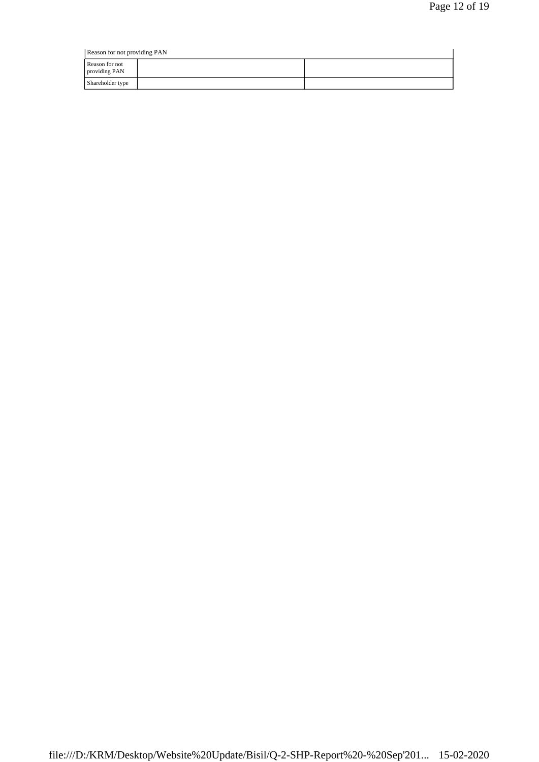|                                 | Reason for not providing PAN |  |  |  |  |  |  |
|---------------------------------|------------------------------|--|--|--|--|--|--|
| Reason for not<br>providing PAN |                              |  |  |  |  |  |  |
| Shareholder type                |                              |  |  |  |  |  |  |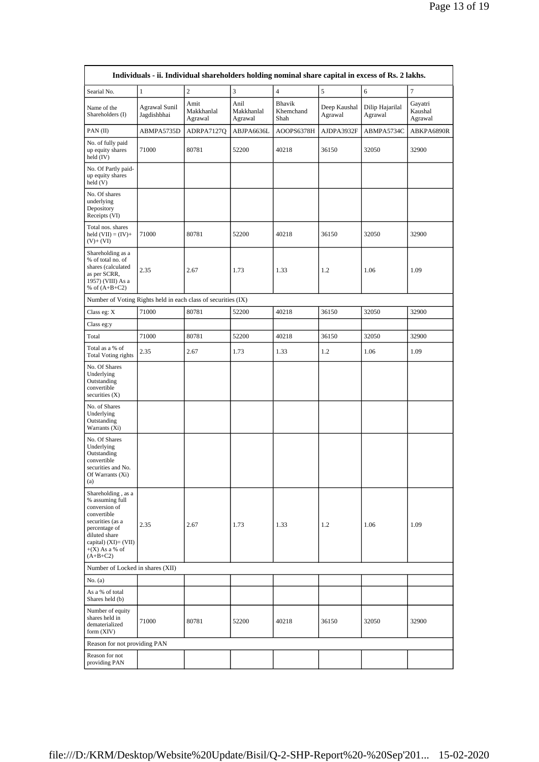| Individuals - ii. Individual shareholders holding nominal share capital in excess of Rs. 2 lakhs.                                                                                        |                                     |                               |                               |                             |                         |                            |                               |
|------------------------------------------------------------------------------------------------------------------------------------------------------------------------------------------|-------------------------------------|-------------------------------|-------------------------------|-----------------------------|-------------------------|----------------------------|-------------------------------|
| Searial No.                                                                                                                                                                              | $\mathbf{1}$                        | $\overline{2}$                | $\overline{3}$                | $\overline{4}$              | 5                       | $\sqrt{6}$                 | 7                             |
| Name of the<br>Shareholders (I)                                                                                                                                                          | <b>Agrawal Sunil</b><br>Jagdishbhai | Amit<br>Makkhanlal<br>Agrawal | Anil<br>Makkhanlal<br>Agrawal | Bhavik<br>Khemchand<br>Shah | Deep Kaushal<br>Agrawal | Dilip Hajarilal<br>Agrawal | Gayatri<br>Kaushal<br>Agrawal |
| PAN(II)                                                                                                                                                                                  | ABMPA5735D                          | ADRPA7127Q                    | ABJPA6636L                    | AOOPS6378H                  | AJDPA3932F              | ABMPA5734C                 | ABKPA6890R                    |
| No. of fully paid<br>up equity shares<br>held (IV)                                                                                                                                       | 71000                               | 80781                         | 52200                         | 40218                       | 36150                   | 32050                      | 32900                         |
| No. Of Partly paid-<br>up equity shares<br>held (V)                                                                                                                                      |                                     |                               |                               |                             |                         |                            |                               |
| No. Of shares<br>underlying<br>Depository<br>Receipts (VI)                                                                                                                               |                                     |                               |                               |                             |                         |                            |                               |
| Total nos. shares<br>held $(VII) = (IV) +$<br>$(V)+(VI)$                                                                                                                                 | 71000                               | 80781                         | 52200                         | 40218                       | 36150                   | 32050                      | 32900                         |
| Shareholding as a<br>% of total no. of<br>shares (calculated<br>as per SCRR,<br>1957) (VIII) As a<br>% of $(A+B+C2)$                                                                     | 2.35                                | 2.67                          | 1.73                          | 1.33                        | 1.2                     | 1.06                       | 1.09                          |
| Number of Voting Rights held in each class of securities (IX)                                                                                                                            |                                     |                               |                               |                             |                         |                            |                               |
| Class eg: X                                                                                                                                                                              | 71000                               | 80781                         | 52200                         | 40218                       | 36150                   | 32050                      | 32900                         |
| Class eg:y                                                                                                                                                                               |                                     |                               |                               |                             |                         |                            |                               |
| Total                                                                                                                                                                                    | 71000                               | 80781                         | 52200                         | 40218                       | 36150                   | 32050                      | 32900                         |
| Total as a % of<br><b>Total Voting rights</b>                                                                                                                                            | 2.35                                | 2.67                          | 1.73                          | 1.33                        | 1.2                     | 1.06                       | 1.09                          |
| No. Of Shares<br>Underlying<br>Outstanding<br>convertible<br>securities $(X)$                                                                                                            |                                     |                               |                               |                             |                         |                            |                               |
| No. of Shares<br>Underlying<br>Outstanding<br>Warrants (Xi)                                                                                                                              |                                     |                               |                               |                             |                         |                            |                               |
| No. Of Shares<br>Underlying<br>Outstanding<br>convertible<br>securities and No.<br>Of Warrants $(Xi)$<br>(a)                                                                             |                                     |                               |                               |                             |                         |                            |                               |
| Shareholding, as a<br>% assuming full<br>conversion of<br>convertible<br>securities (as a<br>percentage of<br>diluted share<br>capital) $(XI) = (VII)$<br>$+(X)$ As a % of<br>$(A+B+C2)$ | 2.35                                | 2.67                          | 1.73                          | 1.33                        | 1.2                     | 1.06                       | 1.09                          |
| Number of Locked in shares (XII)                                                                                                                                                         |                                     |                               |                               |                             |                         |                            |                               |
| No. (a)                                                                                                                                                                                  |                                     |                               |                               |                             |                         |                            |                               |
| As a % of total<br>Shares held (b)                                                                                                                                                       |                                     |                               |                               |                             |                         |                            |                               |
| Number of equity<br>shares held in<br>dematerialized<br>form (XIV)                                                                                                                       | 71000                               | 80781                         | 52200                         | 40218                       | 36150                   | 32050                      | 32900                         |
| Reason for not providing PAN                                                                                                                                                             |                                     |                               |                               |                             |                         |                            |                               |
| Reason for not<br>providing PAN                                                                                                                                                          |                                     |                               |                               |                             |                         |                            |                               |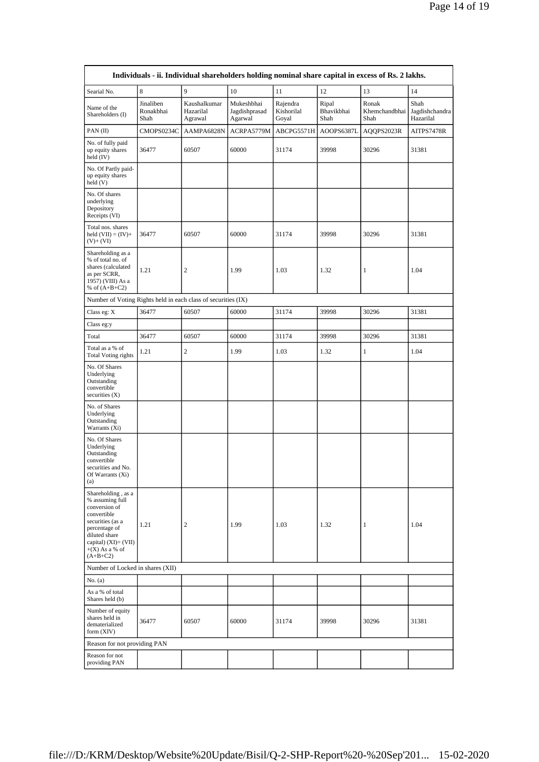| Individuals - ii. Individual shareholders holding nominal share capital in excess of Rs. 2 lakhs.                                                                                        |                                |                                      |                                        |                                 |                             |                                               |                   |
|------------------------------------------------------------------------------------------------------------------------------------------------------------------------------------------|--------------------------------|--------------------------------------|----------------------------------------|---------------------------------|-----------------------------|-----------------------------------------------|-------------------|
| Searial No.                                                                                                                                                                              | 8                              | 9                                    | $10\,$                                 | 11                              | 12                          | 13                                            | 14                |
| Name of the<br>Shareholders (I)                                                                                                                                                          | Jinaliben<br>Ronakbhai<br>Shah | Kaushalkumar<br>Hazarilal<br>Agrawal | Mukeshbhai<br>Jagdishprasad<br>Agarwal | Rajendra<br>Kishorilal<br>Goyal | Ripal<br>Bhavikbhai<br>Shah | Ronak<br>Khemchandbhai Jagdishchandra<br>Shah | Shah<br>Hazarilal |
| PAN(II)                                                                                                                                                                                  | CMOPS0234C                     | AAMPA6828N                           | ACRPA5779M                             | ABCPG5571H                      | AOOPS6387L                  | AQQPS2023R                                    | AITPS7478R        |
| No. of fully paid<br>up equity shares<br>held $(IV)$                                                                                                                                     | 36477                          | 60507                                | 60000                                  | 31174                           | 39998                       | 30296                                         | 31381             |
| No. Of Partly paid-<br>up equity shares<br>held (V)                                                                                                                                      |                                |                                      |                                        |                                 |                             |                                               |                   |
| No. Of shares<br>underlying<br>Depository<br>Receipts (VI)                                                                                                                               |                                |                                      |                                        |                                 |                             |                                               |                   |
| Total nos. shares<br>held $(VII) = (IV) +$<br>$(V)+(VI)$                                                                                                                                 | 36477                          | 60507                                | 60000                                  | 31174                           | 39998                       | 30296                                         | 31381             |
| Shareholding as a<br>% of total no. of<br>shares (calculated<br>as per SCRR,<br>1957) (VIII) As a<br>% of $(A+B+C2)$                                                                     | 1.21                           | $\boldsymbol{2}$                     | 1.99                                   | 1.03                            | 1.32                        | $\mathbf{1}$                                  | 1.04              |
| Number of Voting Rights held in each class of securities (IX)                                                                                                                            |                                |                                      |                                        |                                 |                             |                                               |                   |
| Class eg: X                                                                                                                                                                              | 36477                          | 60507                                | 60000                                  | 31174                           | 39998                       | 30296                                         | 31381             |
| Class eg:y                                                                                                                                                                               |                                |                                      |                                        |                                 |                             |                                               |                   |
| Total                                                                                                                                                                                    | 36477                          | 60507                                | 60000                                  | 31174                           | 39998                       | 30296                                         | 31381             |
| Total as a % of<br><b>Total Voting rights</b>                                                                                                                                            | 1.21                           | $\mathbf{2}$                         | 1.99                                   | 1.03                            | 1.32                        | $\,1$                                         | 1.04              |
| No. Of Shares<br>Underlying<br>Outstanding<br>convertible<br>securities (X)                                                                                                              |                                |                                      |                                        |                                 |                             |                                               |                   |
| No. of Shares<br>Underlying<br>Outstanding<br>Warrants (Xi)                                                                                                                              |                                |                                      |                                        |                                 |                             |                                               |                   |
| No. Of Shares<br>Underlying<br>Outstanding<br>convertible<br>securities and No.<br>Of Warrants $(Xi)$<br>(a)                                                                             |                                |                                      |                                        |                                 |                             |                                               |                   |
| Shareholding, as a<br>% assuming full<br>conversion of<br>convertible<br>securities (as a<br>percentage of<br>diluted share<br>capital) $(XI) = (VII)$<br>$+(X)$ As a % of<br>$(A+B+C2)$ | 1.21                           | 2                                    | 1.99                                   | 1.03                            | 1.32                        | 1                                             | 1.04              |
| Number of Locked in shares (XII)                                                                                                                                                         |                                |                                      |                                        |                                 |                             |                                               |                   |
| No. (a)                                                                                                                                                                                  |                                |                                      |                                        |                                 |                             |                                               |                   |
| As a % of total<br>Shares held (b)                                                                                                                                                       |                                |                                      |                                        |                                 |                             |                                               |                   |
| Number of equity<br>shares held in<br>dematerialized<br>form (XIV)                                                                                                                       | 36477                          | 60507                                | 60000                                  | 31174                           | 39998                       | 30296                                         | 31381             |
| Reason for not providing PAN                                                                                                                                                             |                                |                                      |                                        |                                 |                             |                                               |                   |
| Reason for not<br>providing PAN                                                                                                                                                          |                                |                                      |                                        |                                 |                             |                                               |                   |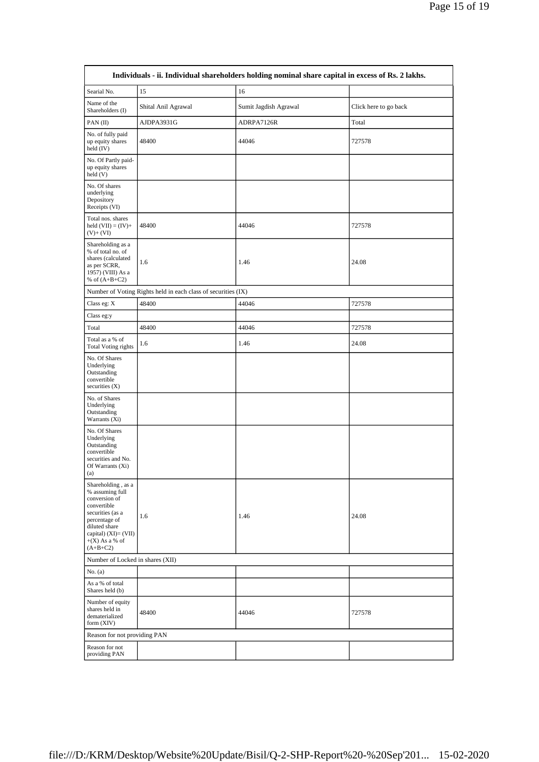| Individuals - ii. Individual shareholders holding nominal share capital in excess of Rs. 2 lakhs.                                                                                     |                                                               |                       |                       |  |  |  |
|---------------------------------------------------------------------------------------------------------------------------------------------------------------------------------------|---------------------------------------------------------------|-----------------------|-----------------------|--|--|--|
| Searial No.                                                                                                                                                                           | 15                                                            | 16                    |                       |  |  |  |
| Name of the<br>Shareholders (I)                                                                                                                                                       | Shital Anil Agrawal                                           | Sumit Jagdish Agrawal | Click here to go back |  |  |  |
| PAN(II)                                                                                                                                                                               | AJDPA3931G                                                    | ADRPA7126R            | Total                 |  |  |  |
| No. of fully paid<br>up equity shares<br>held (IV)                                                                                                                                    | 48400                                                         | 44046                 | 727578                |  |  |  |
| No. Of Partly paid-<br>up equity shares<br>held(V)                                                                                                                                    |                                                               |                       |                       |  |  |  |
| No. Of shares<br>underlying<br>Depository<br>Receipts (VI)                                                                                                                            |                                                               |                       |                       |  |  |  |
| Total nos. shares<br>held $(VII) = (IV) +$<br>$(V)+(VI)$                                                                                                                              | 48400                                                         | 44046                 | 727578                |  |  |  |
| Shareholding as a<br>% of total no. of<br>shares (calculated<br>as per SCRR,<br>1957) (VIII) As a<br>% of $(A+B+C2)$                                                                  | 1.6                                                           | 1.46                  | 24.08                 |  |  |  |
|                                                                                                                                                                                       | Number of Voting Rights held in each class of securities (IX) |                       |                       |  |  |  |
| Class eg: X                                                                                                                                                                           | 48400                                                         | 44046                 | 727578                |  |  |  |
| Class eg:y                                                                                                                                                                            |                                                               |                       |                       |  |  |  |
| Total                                                                                                                                                                                 | 48400                                                         | 44046                 | 727578                |  |  |  |
| Total as a % of<br><b>Total Voting rights</b>                                                                                                                                         | 1.6                                                           | 1.46                  | 24.08                 |  |  |  |
| No. Of Shares<br>Underlying<br>Outstanding<br>convertible<br>securities $(X)$                                                                                                         |                                                               |                       |                       |  |  |  |
| No. of Shares<br>Underlying<br>Outstanding<br>Warrants (Xi)                                                                                                                           |                                                               |                       |                       |  |  |  |
| No. Of Shares<br>Underlying<br>Outstanding<br>convertible<br>securities and No.<br>Of Warrants (Xi)<br>(a)                                                                            |                                                               |                       |                       |  |  |  |
| Shareholding, as a<br>% assuming full<br>conversion of<br>convertible<br>securities (as a<br>percentage of<br>diluted share<br>capital) (XI)= (VII)<br>$+(X)$ As a % of<br>$(A+B+C2)$ | 1.6                                                           | 1.46                  | 24.08                 |  |  |  |
| Number of Locked in shares (XII)                                                                                                                                                      |                                                               |                       |                       |  |  |  |
| No. (a)                                                                                                                                                                               |                                                               |                       |                       |  |  |  |
| As a % of total<br>Shares held (b)                                                                                                                                                    |                                                               |                       |                       |  |  |  |
| Number of equity<br>shares held in<br>dematerialized<br>form (XIV)                                                                                                                    | 48400                                                         | 44046                 | 727578                |  |  |  |
| Reason for not providing PAN                                                                                                                                                          |                                                               |                       |                       |  |  |  |
| Reason for not<br>providing PAN                                                                                                                                                       |                                                               |                       |                       |  |  |  |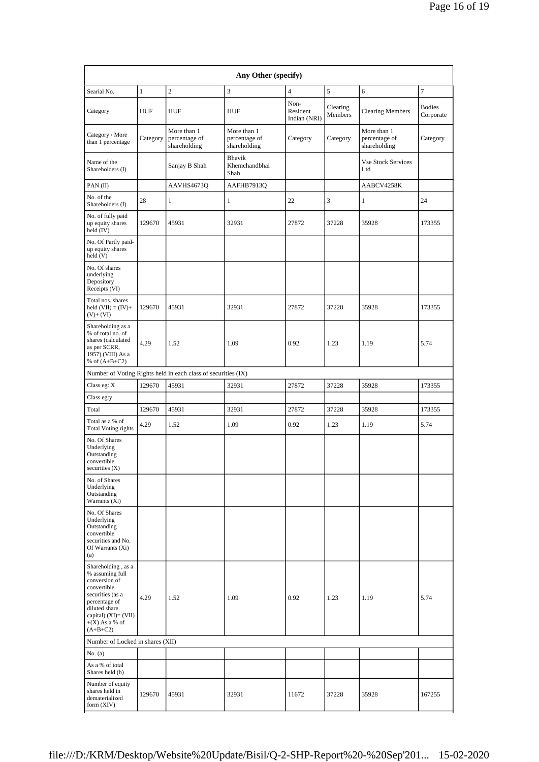| Searial No.                                                                                                                                                                              | $\mathbf{1}$ | $\overline{c}$                                                | 3                                            | $\overline{4}$                   | 5                   | 6                                            | $\tau$                     |
|------------------------------------------------------------------------------------------------------------------------------------------------------------------------------------------|--------------|---------------------------------------------------------------|----------------------------------------------|----------------------------------|---------------------|----------------------------------------------|----------------------------|
| Category                                                                                                                                                                                 | <b>HUF</b>   | <b>HUF</b>                                                    | <b>HUF</b>                                   | Non-<br>Resident<br>Indian (NRI) | Clearing<br>Members | <b>Clearing Members</b>                      | <b>Bodies</b><br>Corporate |
| Category / More<br>than 1 percentage                                                                                                                                                     | Category     | More than 1<br>percentage of<br>shareholding                  | More than 1<br>percentage of<br>shareholding | Category                         | Category            | More than 1<br>percentage of<br>shareholding | Category                   |
| Name of the<br>Shareholders (I)                                                                                                                                                          |              | Sanjay B Shah                                                 | <b>Bhavik</b><br>Khemchandbhai<br>Shah       |                                  |                     | <b>Vse Stock Services</b><br>Ltd             |                            |
| PAN(II)                                                                                                                                                                                  |              | AAVHS4673Q                                                    | AAFHB7913Q                                   |                                  |                     | AABCV4258K                                   |                            |
| No. of the<br>Shareholders (I)                                                                                                                                                           | 28           | $\mathbf{1}$                                                  | $\mathbf{1}$                                 | 22                               | 3                   | 1                                            | 24                         |
| No. of fully paid<br>up equity shares<br>held (IV)                                                                                                                                       | 129670       | 45931                                                         | 32931                                        | 27872                            | 37228               | 35928                                        | 173355                     |
| No. Of Partly paid-<br>up equity shares<br>held(V)                                                                                                                                       |              |                                                               |                                              |                                  |                     |                                              |                            |
| No. Of shares<br>underlying<br>Depository<br>Receipts (VI)                                                                                                                               |              |                                                               |                                              |                                  |                     |                                              |                            |
| Total nos. shares<br>held $(VII) = (IV) +$<br>$(V)+(VI)$                                                                                                                                 | 129670       | 45931                                                         | 32931                                        | 27872                            | 37228               | 35928                                        | 173355                     |
| Shareholding as a<br>% of total no. of<br>shares (calculated<br>as per SCRR,<br>1957) (VIII) As a<br>% of $(A+B+C2)$                                                                     | 4.29         | 1.52                                                          | 1.09                                         | 0.92                             | 1.23                | 1.19                                         | 5.74                       |
|                                                                                                                                                                                          |              | Number of Voting Rights held in each class of securities (IX) |                                              |                                  |                     |                                              |                            |
| Class eg: X                                                                                                                                                                              | 129670       | 45931                                                         | 32931                                        | 27872                            | 37228               | 35928                                        | 173355                     |
| Class eg:y                                                                                                                                                                               |              |                                                               |                                              |                                  |                     |                                              |                            |
| Total                                                                                                                                                                                    | 129670       | 45931                                                         | 32931                                        | 27872                            | 37228               | 35928                                        | 173355                     |
| Total as a % of<br><b>Total Voting rights</b>                                                                                                                                            | 4.29         | 1.52                                                          | 1.09                                         | 0.92                             | 1.23                | 1.19                                         | 5.74                       |
| No. Of Shares<br>Underlying<br>Outstanding<br>convertible<br>securities $(X)$                                                                                                            |              |                                                               |                                              |                                  |                     |                                              |                            |
| No. of Shares<br>Underlying<br>Outstanding<br>Warrants (Xi)                                                                                                                              |              |                                                               |                                              |                                  |                     |                                              |                            |
| No. Of Shares<br>Underlying<br>Outstanding<br>convertible<br>securities and No.<br>Of Warrants (Xi)<br>(a)                                                                               |              |                                                               |                                              |                                  |                     |                                              |                            |
| Shareholding, as a<br>% assuming full<br>conversion of<br>convertible<br>securities (as a<br>percentage of<br>diluted share<br>capital) $(XI) = (VII)$<br>$+(X)$ As a % of<br>$(A+B+C2)$ | 4.29         | 1.52                                                          | 1.09                                         | 0.92                             | 1.23                | 1.19                                         | 5.74                       |
| Number of Locked in shares (XII)                                                                                                                                                         |              |                                                               |                                              |                                  |                     |                                              |                            |
| No. (a)                                                                                                                                                                                  |              |                                                               |                                              |                                  |                     |                                              |                            |
| As a % of total<br>Shares held (b)                                                                                                                                                       |              |                                                               |                                              |                                  |                     |                                              |                            |
| Number of equity<br>shares held in<br>dematerialized                                                                                                                                     | 129670       | 45931                                                         | 32931                                        | 11672                            | 37228               | 35928                                        | 167255                     |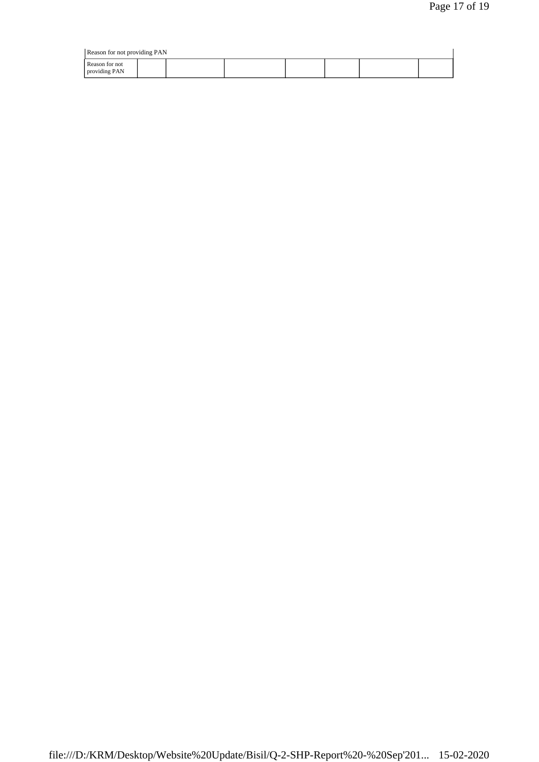| Reason for not providing PAN    |  |  |  |  |  |  |  |
|---------------------------------|--|--|--|--|--|--|--|
| Reason for not<br>providing PAN |  |  |  |  |  |  |  |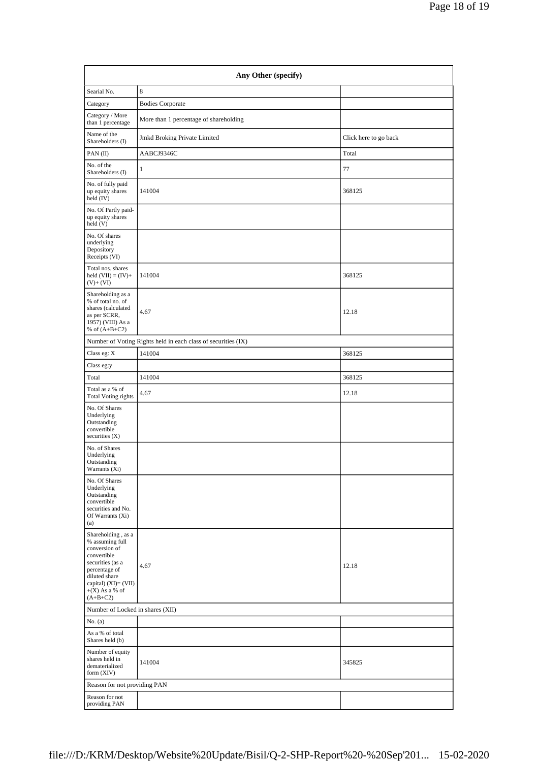| Any Other (specify)                                                                                                                                                                   |                                                               |                       |  |  |  |  |
|---------------------------------------------------------------------------------------------------------------------------------------------------------------------------------------|---------------------------------------------------------------|-----------------------|--|--|--|--|
| Searial No.                                                                                                                                                                           | 8                                                             |                       |  |  |  |  |
| Category                                                                                                                                                                              | <b>Bodies Corporate</b>                                       |                       |  |  |  |  |
| Category / More<br>than 1 percentage                                                                                                                                                  | More than 1 percentage of shareholding                        |                       |  |  |  |  |
| Name of the<br>Shareholders (I)                                                                                                                                                       | Jmkd Broking Private Limited                                  | Click here to go back |  |  |  |  |
| PAN(II)                                                                                                                                                                               | AABCJ9346C                                                    | Total                 |  |  |  |  |
| No. of the<br>Shareholders (I)                                                                                                                                                        | 1                                                             | 77                    |  |  |  |  |
| No. of fully paid<br>up equity shares<br>held (IV)                                                                                                                                    | 141004                                                        | 368125                |  |  |  |  |
| No. Of Partly paid-<br>up equity shares<br>held (V)                                                                                                                                   |                                                               |                       |  |  |  |  |
| No. Of shares<br>underlying<br>Depository<br>Receipts (VI)                                                                                                                            |                                                               |                       |  |  |  |  |
| Total nos. shares<br>held $(VII) = (IV) +$<br>$(V)$ + $(VI)$                                                                                                                          | 141004                                                        | 368125                |  |  |  |  |
| Shareholding as a<br>% of total no. of<br>shares (calculated<br>as per SCRR,<br>1957) (VIII) As a<br>% of $(A+B+C2)$                                                                  | 4.67                                                          | 12.18                 |  |  |  |  |
|                                                                                                                                                                                       | Number of Voting Rights held in each class of securities (IX) |                       |  |  |  |  |
| Class eg: X                                                                                                                                                                           | 141004                                                        | 368125                |  |  |  |  |
| Class eg:y                                                                                                                                                                            |                                                               |                       |  |  |  |  |
| Total                                                                                                                                                                                 | 141004                                                        | 368125                |  |  |  |  |
| Total as a % of<br><b>Total Voting rights</b>                                                                                                                                         | 4.67                                                          | 12.18                 |  |  |  |  |
| No. Of Shares<br>Underlying<br>Outstanding<br>convertible<br>securities $(X)$                                                                                                         |                                                               |                       |  |  |  |  |
| No. of Shares<br>Underlying<br>Outstanding<br>Warrants (Xi)                                                                                                                           |                                                               |                       |  |  |  |  |
| No. Of Shares<br>Underlying<br>Outstanding<br>convertible<br>securities and No.<br>Of Warrants (Xi)<br>(a)                                                                            |                                                               |                       |  |  |  |  |
| Shareholding, as a<br>% assuming full<br>conversion of<br>convertible<br>securities (as a<br>percentage of<br>diluted share<br>capital) (XI)= (VII)<br>$+(X)$ As a % of<br>$(A+B+C2)$ | 4.67                                                          | 12.18                 |  |  |  |  |
| Number of Locked in shares (XII)                                                                                                                                                      |                                                               |                       |  |  |  |  |
| No. (a)                                                                                                                                                                               |                                                               |                       |  |  |  |  |
| As a % of total<br>Shares held (b)                                                                                                                                                    |                                                               |                       |  |  |  |  |
| Number of equity<br>shares held in<br>dematerialized<br>form (XIV)                                                                                                                    | 141004                                                        | 345825                |  |  |  |  |
| Reason for not providing PAN                                                                                                                                                          |                                                               |                       |  |  |  |  |
| Reason for not<br>providing PAN                                                                                                                                                       |                                                               |                       |  |  |  |  |